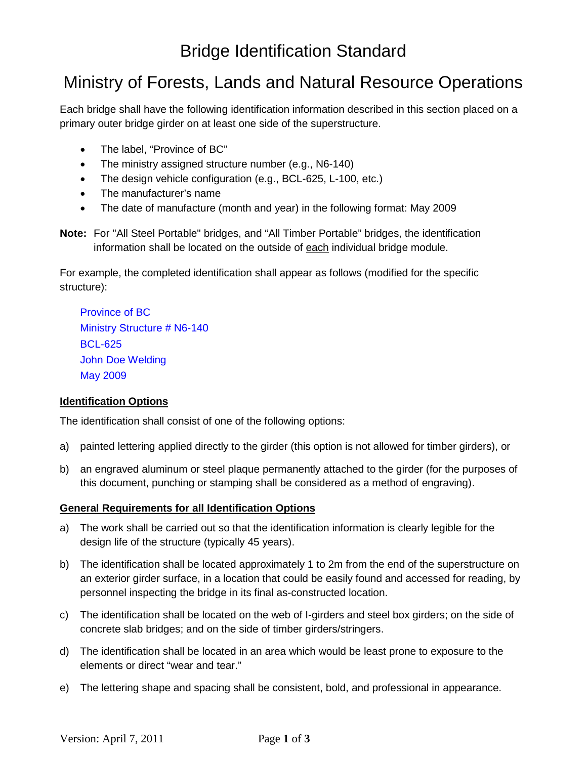# Ministry of Forests, Lands and Natural Resource Operations

Each bridge shall have the following identification information described in this section placed on a primary outer bridge girder on at least one side of the superstructure.

- The label, "Province of BC"
- The ministry assigned structure number (e.g., N6-140)
- The design vehicle configuration (e.g., BCL-625, L-100, etc.)
- The manufacturer's name
- The date of manufacture (month and year) in the following format: May 2009

**Note:** For "All Steel Portable" bridges, and "All Timber Portable" bridges, the identification information shall be located on the outside of each individual bridge module.

For example, the completed identification shall appear as follows (modified for the specific structure):

Province of BC Ministry Structure # N6-140 BCL-625 John Doe Welding May 2009

#### **Identification Options**

The identification shall consist of one of the following options:

- a) painted lettering applied directly to the girder (this option is not allowed for timber girders), or
- b) an engraved aluminum or steel plaque permanently attached to the girder (for the purposes of this document, punching or stamping shall be considered as a method of engraving).

#### **General Requirements for all Identification Options**

- a) The work shall be carried out so that the identification information is clearly legible for the design life of the structure (typically 45 years).
- b) The identification shall be located approximately 1 to 2m from the end of the superstructure on an exterior girder surface, in a location that could be easily found and accessed for reading, by personnel inspecting the bridge in its final as-constructed location.
- c) The identification shall be located on the web of I-girders and steel box girders; on the side of concrete slab bridges; and on the side of timber girders/stringers.
- d) The identification shall be located in an area which would be least prone to exposure to the elements or direct "wear and tear."
- e) The lettering shape and spacing shall be consistent, bold, and professional in appearance.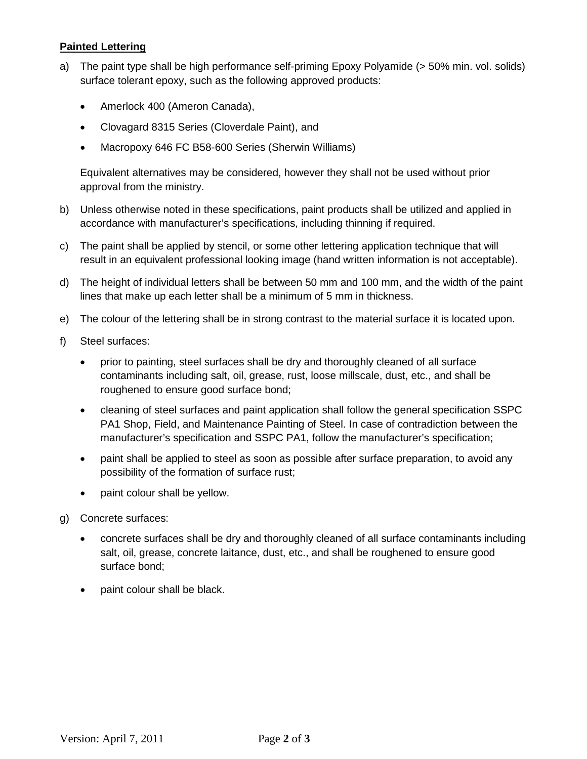### **Painted Lettering**

- a) The paint type shall be high performance self-priming Epoxy Polyamide (> 50% min. vol. solids) surface tolerant epoxy, such as the following approved products:
	- Amerlock 400 (Ameron Canada),
	- Clovagard 8315 Series (Cloverdale Paint), and
	- Macropoxy 646 FC B58-600 Series (Sherwin Williams)

Equivalent alternatives may be considered, however they shall not be used without prior approval from the ministry.

- b) Unless otherwise noted in these specifications, paint products shall be utilized and applied in accordance with manufacturer's specifications, including thinning if required.
- c) The paint shall be applied by stencil, or some other lettering application technique that will result in an equivalent professional looking image (hand written information is not acceptable).
- d) The height of individual letters shall be between 50 mm and 100 mm, and the width of the paint lines that make up each letter shall be a minimum of 5 mm in thickness.
- e) The colour of the lettering shall be in strong contrast to the material surface it is located upon.
- f) Steel surfaces:
	- prior to painting, steel surfaces shall be dry and thoroughly cleaned of all surface contaminants including salt, oil, grease, rust, loose millscale, dust, etc., and shall be roughened to ensure good surface bond;
	- cleaning of steel surfaces and paint application shall follow the general specification SSPC PA1 Shop, Field, and Maintenance Painting of Steel. In case of contradiction between the manufacturer's specification and SSPC PA1, follow the manufacturer's specification;
	- paint shall be applied to steel as soon as possible after surface preparation, to avoid any possibility of the formation of surface rust;
	- paint colour shall be yellow.
- g) Concrete surfaces:
	- concrete surfaces shall be dry and thoroughly cleaned of all surface contaminants including salt, oil, grease, concrete laitance, dust, etc., and shall be roughened to ensure good surface bond;
	- paint colour shall be black.